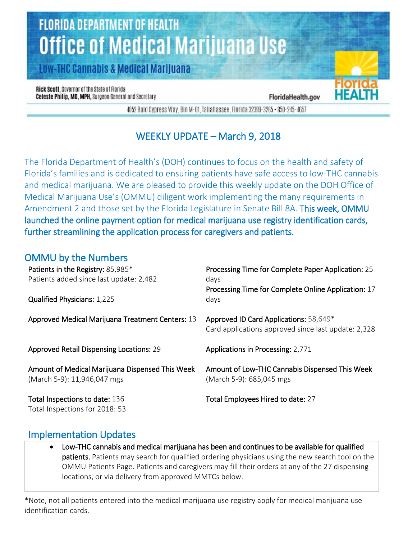# **FLORIDA DEPARTMENT OF HEALTH Office of Medical Marijuana Use**

**Low-THC Cannabis & Medical Marijuana** 

Rick Scott, Governor of the State of Florida Celeste Philip, MD, MPH, Surgeon General and Secretary

FloridaHealth.gov

4052 Bald Cypress Way, Bin M-01, Tallahassee, Florida 32399-3265 • 850-245-4657

# WEEKLY UPDATE – March 9, 2018

The Florida Department of Health's (DOH) continues to focus on the health and safety of Florida's families and is dedicated to ensuring patients have safe access to low-THC cannabis and medical marijuana. We are pleased to provide this weekly update on the DOH Office of Medical Marijuana Use's (OMMU) diligent work implementing the many requirements in Amendment 2 and those set by the Florida Legislature in Senate Bill 8A. This week, OMMU launched the online payment option for medical marijuana use registry identification cards, further streamlining the application process for caregivers and patients.

### OMMU by the Numbers

| Patients in the Registry: 85,985*<br>Patients added since last update: 2,482<br>Qualified Physicians: 1,225 | Processing Time for Complete Paper Application: 25<br>days<br>Processing Time for Complete Online Application: 17<br>days |
|-------------------------------------------------------------------------------------------------------------|---------------------------------------------------------------------------------------------------------------------------|
| Approved Medical Marijuana Treatment Centers: 13                                                            | Approved ID Card Applications: 58,649*<br>Card applications approved since last update: 2,328                             |
| <b>Approved Retail Dispensing Locations: 29</b>                                                             | Applications in Processing: 2,771                                                                                         |
| Amount of Medical Marijuana Dispensed This Week<br>(March 5-9): 11,946,047 mgs                              | Amount of Low-THC Cannabis Dispensed This Week<br>(March 5-9): 685,045 mgs                                                |
| Total Inspections to date: 136<br>Total Inspections for 2018: 53                                            | Total Employees Hired to date: 27                                                                                         |

#### Implementation Updates

• Low-THC cannabis and medical marijuana has been and continues to be available for qualified patients. Patients may search for qualified ordering physicians using the new search tool on the OMMU Patients Page. Patients and caregivers may fill their orders at any of the 27 dispensing locations, or via delivery from approved MMTCs below.

\*Note, not all patients entered into the medical marijuana use registry apply for medical marijuana use identification cards.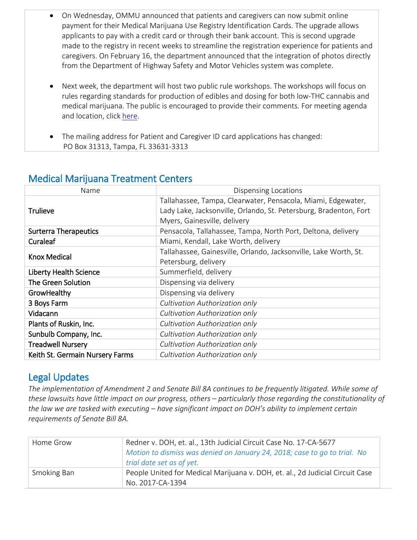- On Wednesday, OMMU announced that patients and caregivers can now submit online payment for their Medical Marijuana Use Registry Identification Cards. The upgrade allows applicants to pay with a credit card or through their bank account. This is second upgrade made to the registry in recent weeks to streamline the registration experience for patients and caregivers. On February 16, the department announced that the integration of photos directly from the Department of Highway Safety and Motor Vehicles system was complete.
- Next week, the department will host two public rule workshops. The workshops will focus on rules regarding standards for production of edibles and dosing for both low-THC cannabis and medical marijuana. The public is encouraged to provide their comments. For meeting agenda and location, clic[k here.](http://www.floridahealth.gov/newsroom/2018/03/030818-ommu-workshops.html)
- The mailing address for Patient and Caregiver ID card applications has changed: PO Box 31313, Tampa, FL 33631-3313

| Name                            | <b>Dispensing Locations</b>                                       |
|---------------------------------|-------------------------------------------------------------------|
|                                 | Tallahassee, Tampa, Clearwater, Pensacola, Miami, Edgewater,      |
| <b>Trulieve</b>                 | Lady Lake, Jacksonville, Orlando, St. Petersburg, Bradenton, Fort |
|                                 | Myers, Gainesville, delivery                                      |
| <b>Surterra Therapeutics</b>    | Pensacola, Tallahassee, Tampa, North Port, Deltona, delivery      |
| <b>Curaleaf</b>                 | Miami, Kendall, Lake Worth, delivery                              |
|                                 | Tallahassee, Gainesville, Orlando, Jacksonville, Lake Worth, St.  |
| <b>Knox Medical</b>             | Petersburg, delivery                                              |
| <b>Liberty Health Science</b>   | Summerfield, delivery                                             |
| The Green Solution              | Dispensing via delivery                                           |
| GrowHealthy                     | Dispensing via delivery                                           |
| 3 Boys Farm                     | Cultivation Authorization only                                    |
| Vidacann                        | Cultivation Authorization only                                    |
| Plants of Ruskin, Inc.          | Cultivation Authorization only                                    |
| Sunbulb Company, Inc.           | Cultivation Authorization only                                    |
| <b>Treadwell Nursery</b>        | Cultivation Authorization only                                    |
| Keith St. Germain Nursery Farms | Cultivation Authorization only                                    |

### Medical Marijuana Treatment Centers

## Legal Updates

*The implementation of Amendment 2 and Senate Bill 8A continues to be frequently litigated. While some of these lawsuits have little impact on our progress, others – particularly those regarding the constitutionality of the law we are tasked with executing – have significant impact on DOH's ability to implement certain requirements of Senate Bill 8A.*

| Home Grow   | Redner v. DOH, et. al., 13th Judicial Circuit Case No. 17-CA-5677             |
|-------------|-------------------------------------------------------------------------------|
|             | Motion to dismiss was denied on January 24, 2018; case to go to trial. No     |
|             | trial date set as of yet.                                                     |
| Smoking Ban | People United for Medical Marijuana v. DOH, et. al., 2d Judicial Circuit Case |
|             | No. 2017-CA-1394                                                              |